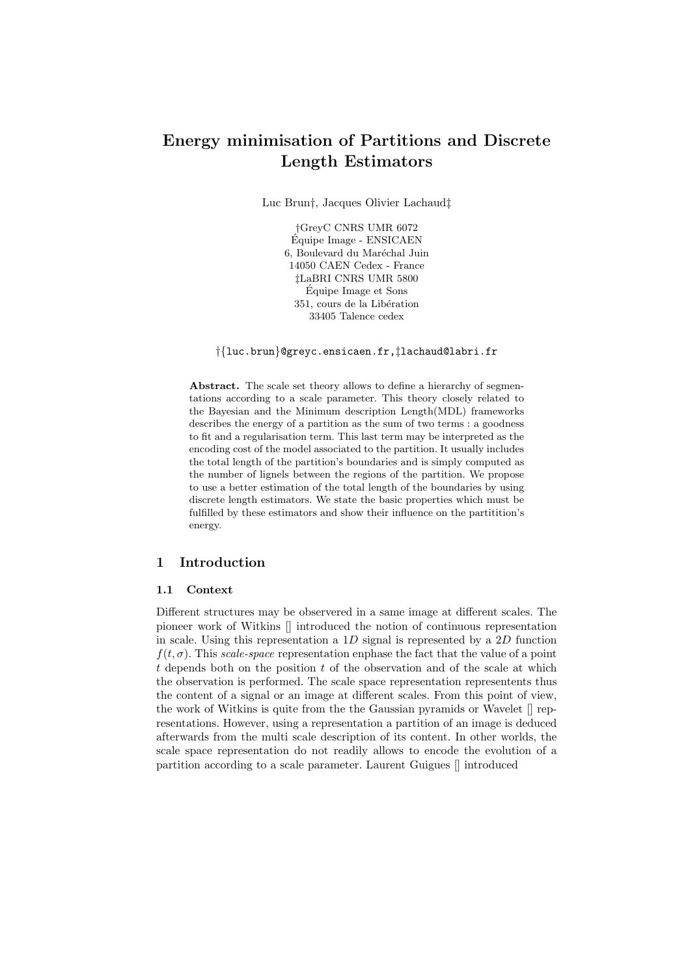# Energy minimisation of Partitions and Discrete Length Estimators

Luc Brun†, Jacques Olivier Lachaud‡

†GreyC CNRS UMR 6072 Équipe Image - ENSICAEN 6, Boulevard du Maréchal Juin 14050 CAEN Cedex - France ‡LaBRI CNRS UMR 5800 Équipe Image et Sons 351, cours de la Libération 33405 Talence cedex

†{luc.brun}@greyc.ensicaen.fr,‡lachaud@labri.fr

Abstract. The scale set theory allows to define a hierarchy of segmentations according to a scale parameter. This theory closely related to the Bayesian and the Minimum description Length(MDL) frameworks describes the energy of a partition as the sum of two terms : a goodness to fit and a regularisation term. This last term may be interpreted as the encoding cost of the model associated to the partition. It usually includes the total length of the partition's boundaries and is simply computed as the number of lignels between the regions of the partition. We propose to use a better estimation of the total length of the boundaries by using discrete length estimators. We state the basic properties which must be fulfilled by these estimators and show their influence on the partitition's energy.

# 1 Introduction

### 1.1 Context

Different structures may be observered in a same image at different scales. The pioneer work of Witkins [] introduced the notion of continuous representation in scale. Using this representation a  $1D$  signal is represented by a  $2D$  function  $f(t, \sigma)$ . This scale-space representation enphase the fact that the value of a point  $t$  depends both on the position  $t$  of the observation and of the scale at which the observation is performed. The scale space representation representents thus the content of a signal or an image at different scales. From this point of view, the work of Witkins is quite from the the Gaussian pyramids or Wavelet [] representations. However, using a representation a partition of an image is deduced afterwards from the multi scale description of its content. In other worlds, the scale space representation do not readily allows to encode the evolution of a partition according to a scale parameter. Laurent Guigues [] introduced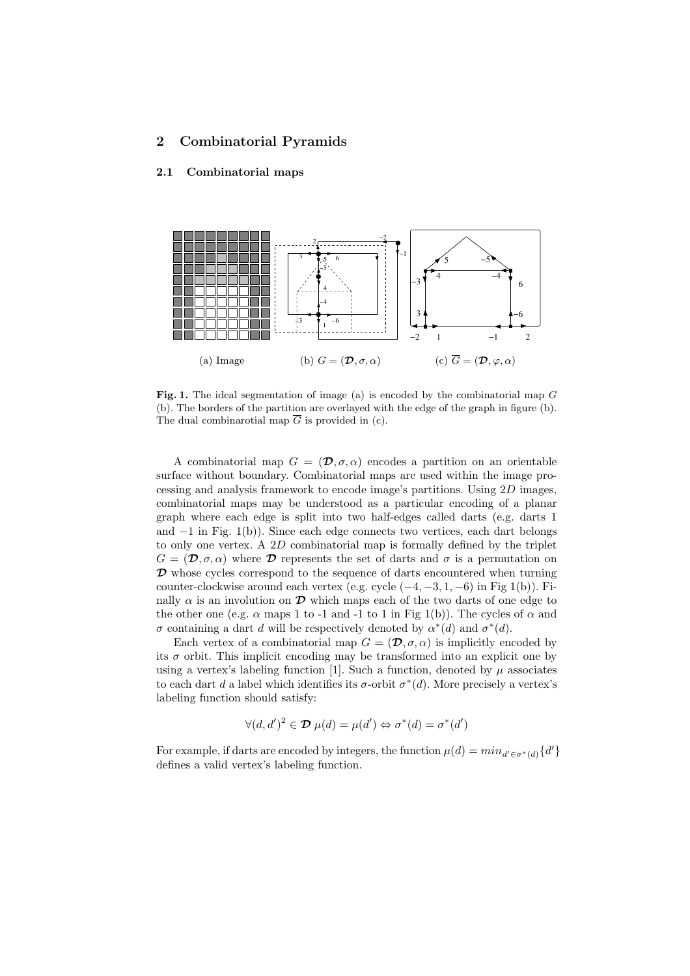# 2 Combinatorial Pyramids

# 2.1 Combinatorial maps



Fig. 1. The ideal segmentation of image (a) is encoded by the combinatorial map G (b). The borders of the partition are overlayed with the edge of the graph in figure (b). The dual combinarotial map  $\overline{G}$  is provided in (c).

A combinatorial map  $G = (\mathcal{D}, \sigma, \alpha)$  encodes a partition on an orientable surface without boundary. Combinatorial maps are used within the image processing and analysis framework to encode image's partitions. Using 2D images, combinatorial maps may be understood as a particular encoding of a planar graph where each edge is split into two half-edges called darts (e.g. darts 1 and −1 in Fig. 1(b)). Since each edge connects two vertices, each dart belongs to only one vertex. A 2D combinatorial map is formally defined by the triplet  $G = (\mathcal{D}, \sigma, \alpha)$  where  $\mathcal D$  represents the set of darts and  $\sigma$  is a permutation on  $\mathcal D$  whose cycles correspond to the sequence of darts encountered when turning counter-clockwise around each vertex (e.g. cycle  $(-4, -3, 1, -6)$ ) in Fig 1(b)). Finally  $\alpha$  is an involution on  $\mathcal D$  which maps each of the two darts of one edge to the other one (e.g.  $\alpha$  maps 1 to -1 and -1 to 1 in Fig 1(b)). The cycles of  $\alpha$  and σ containing a dart d will be respectively denoted by  $\alpha^*(d)$  and  $\sigma^*(d)$ .

Each vertex of a combinatorial map  $G = (\mathcal{D}, \sigma, \alpha)$  is implicitly encoded by its  $\sigma$  orbit. This implicit encoding may be transformed into an explicit one by using a vertex's labeling function [1]. Such a function, denoted by  $\mu$  associates to each dart d a label which identifies its  $\sigma$ -orbit  $\sigma^*(d)$ . More precisely a vertex's labeling function should satisfy:

$$
\forall (d, d')^2 \in \mathcal{D} \ \mu(d) = \mu(d') \Leftrightarrow \sigma^*(d) = \sigma^*(d')
$$

For example, if darts are encoded by integers, the function  $\mu(d) = min_{d' \in \sigma^*(d)} \{d'\}$ defines a valid vertex's labeling function.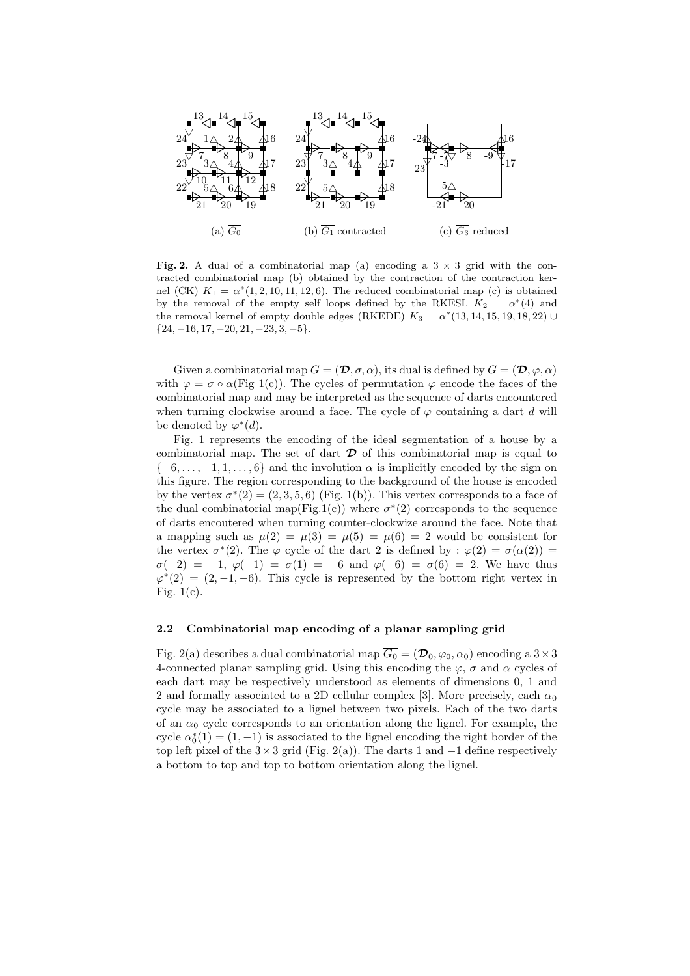

Fig. 2. A dual of a combinatorial map (a) encoding a  $3 \times 3$  grid with the contracted combinatorial map (b) obtained by the contraction of the contraction kernel (CK)  $K_1 = \alpha^*(1, 2, 10, 11, 12, 6)$ . The reduced combinatorial map (c) is obtained by the removal of the empty self loops defined by the RKESL  $K_2 = \alpha^*(4)$  and the removal kernel of empty double edges (RKEDE)  $K_3 = \alpha^*(13, 14, 15, 19, 18, 22)$  U  ${24, -16, 17, -20, 21, -23, 3, -5}.$ 

Given a combinatorial map  $G = (\mathcal{D}, \sigma, \alpha)$ , its dual is defined by  $\overline{G} = (\mathcal{D}, \varphi, \alpha)$ with  $\varphi = \sigma \circ \alpha$ (Fig 1(c)). The cycles of permutation  $\varphi$  encode the faces of the combinatorial map and may be interpreted as the sequence of darts encountered when turning clockwise around a face. The cycle of  $\varphi$  containing a dart d will be denoted by  $\varphi^*(d)$ .

Fig. 1 represents the encoding of the ideal segmentation of a house by a combinatorial map. The set of dart  $\mathcal D$  of this combinatorial map is equal to  $\{-6, \ldots, -1, 1, \ldots, 6\}$  and the involution  $\alpha$  is implicitly encoded by the sign on this figure. The region corresponding to the background of the house is encoded by the vertex  $\sigma^*(2) = (2, 3, 5, 6)$  (Fig. 1(b)). This vertex corresponds to a face of the dual combinatorial map(Fig.1(c)) where  $\sigma^*(2)$  corresponds to the sequence of darts encoutered when turning counter-clockwize around the face. Note that a mapping such as  $\mu(2) = \mu(3) = \mu(5) = \mu(6) = 2$  would be consistent for the vertex  $\sigma^*(2)$ . The  $\varphi$  cycle of the dart 2 is defined by :  $\varphi(2) = \sigma(\alpha(2)) =$  $\sigma(-2) = -1, \ \varphi(-1) = \sigma(1) = -6$  and  $\varphi(-6) = \sigma(6) = 2$ . We have thus  $\varphi^*(2) = (2, -1, -6)$ . This cycle is represented by the bottom right vertex in Fig.  $1(c)$ .

# 2.2 Combinatorial map encoding of a planar sampling grid

Fig. 2(a) describes a dual combinatorial map  $\overline{G_0} = (\mathcal{D}_0, \varphi_0, \alpha_0)$  encoding a  $3 \times 3$ 4-connected planar sampling grid. Using this encoding the  $\varphi$ ,  $\sigma$  and  $\alpha$  cycles of each dart may be respectively understood as elements of dimensions 0, 1 and 2 and formally associated to a 2D cellular complex [3]. More precisely, each  $\alpha_0$ cycle may be associated to a lignel between two pixels. Each of the two darts of an  $\alpha_0$  cycle corresponds to an orientation along the lignel. For example, the cycle  $\alpha_0^*(1) = (1, -1)$  is associated to the lignel encoding the right border of the top left pixel of the  $3\times3$  grid (Fig. 2(a)). The darts 1 and  $-1$  define respectively a bottom to top and top to bottom orientation along the lignel.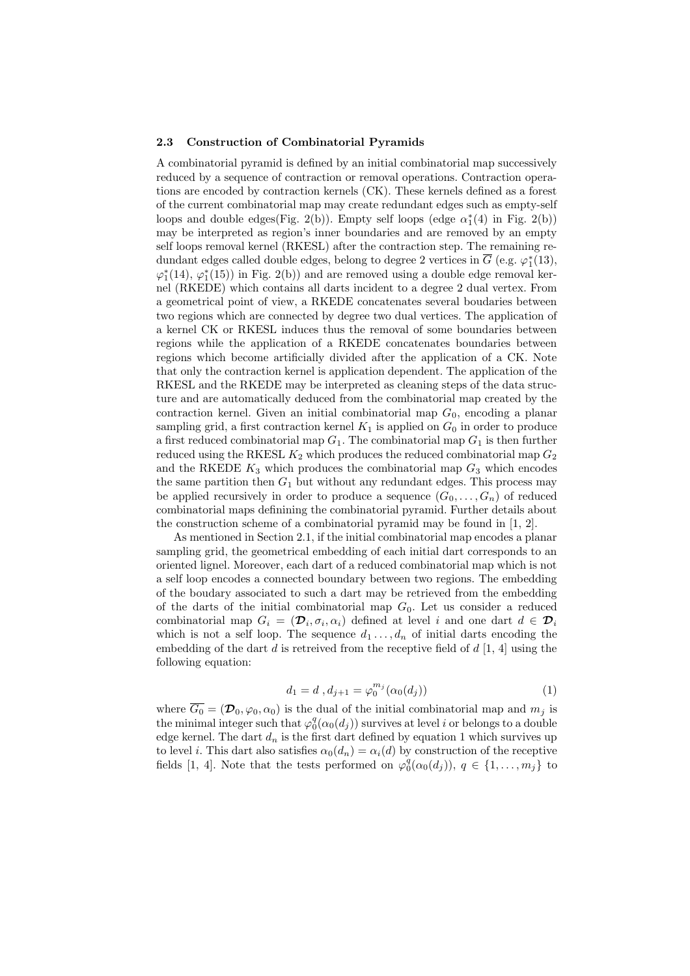#### 2.3 Construction of Combinatorial Pyramids

A combinatorial pyramid is defined by an initial combinatorial map successively reduced by a sequence of contraction or removal operations. Contraction operations are encoded by contraction kernels (CK). These kernels defined as a forest of the current combinatorial map may create redundant edges such as empty-self loops and double edges(Fig. 2(b)). Empty self loops (edge  $\alpha_1^*(4)$  in Fig. 2(b)) may be interpreted as region's inner boundaries and are removed by an empty self loops removal kernel (RKESL) after the contraction step. The remaining redundant edges called double edges, belong to degree 2 vertices in  $\overline{G}$  (e.g.  $\varphi_1^*(13)$ ,  $\varphi_1^*(14), \varphi_1^*(15))$  in Fig. 2(b)) and are removed using a double edge removal kernel (RKEDE) which contains all darts incident to a degree 2 dual vertex. From a geometrical point of view, a RKEDE concatenates several boudaries between two regions which are connected by degree two dual vertices. The application of a kernel CK or RKESL induces thus the removal of some boundaries between regions while the application of a RKEDE concatenates boundaries between regions which become artificially divided after the application of a CK. Note that only the contraction kernel is application dependent. The application of the RKESL and the RKEDE may be interpreted as cleaning steps of the data structure and are automatically deduced from the combinatorial map created by the contraction kernel. Given an initial combinatorial map  $G_0$ , encoding a planar sampling grid, a first contraction kernel  $K_1$  is applied on  $G_0$  in order to produce a first reduced combinatorial map  $G_1$ . The combinatorial map  $G_1$  is then further reduced using the RKESL  $K_2$  which produces the reduced combinatorial map  $G_2$ and the RKEDE  $K_3$  which produces the combinatorial map  $G_3$  which encodes the same partition then  $G_1$  but without any redundant edges. This process may be applied recursively in order to produce a sequence  $(G_0, \ldots, G_n)$  of reduced combinatorial maps definining the combinatorial pyramid. Further details about the construction scheme of a combinatorial pyramid may be found in [1, 2].

As mentioned in Section 2.1, if the initial combinatorial map encodes a planar sampling grid, the geometrical embedding of each initial dart corresponds to an oriented lignel. Moreover, each dart of a reduced combinatorial map which is not a self loop encodes a connected boundary between two regions. The embedding of the boudary associated to such a dart may be retrieved from the embedding of the darts of the initial combinatorial map  $G_0$ . Let us consider a reduced combinatorial map  $G_i = (\mathcal{D}_i, \sigma_i, \alpha_i)$  defined at level i and one dart  $d \in \mathcal{D}_i$ which is not a self loop. The sequence  $d_1 \ldots, d_n$  of initial darts encoding the embedding of the dart  $d$  is retreived from the receptive field of  $d \vert 1, 4$  using the following equation:

$$
d_1 = d \, , d_{j+1} = \varphi_0^{m_j}(\alpha_0(d_j)) \tag{1}
$$

where  $\overline{G_0} = (\mathcal{D}_0, \varphi_0, \alpha_0)$  is the dual of the initial combinatorial map and  $m_j$  is the minimal integer such that  $\varphi_0^q(\alpha_0(d_j))$  survives at level i or belongs to a double edge kernel. The dart  $d_n$  is the first dart defined by equation 1 which survives up to level i. This dart also satisfies  $\alpha_0(d_n) = \alpha_i(d)$  by construction of the receptive fields [1, 4]. Note that the tests performed on  $\varphi_0^q(\alpha_0(d_j))$ ,  $q \in \{1, \ldots, m_j\}$  to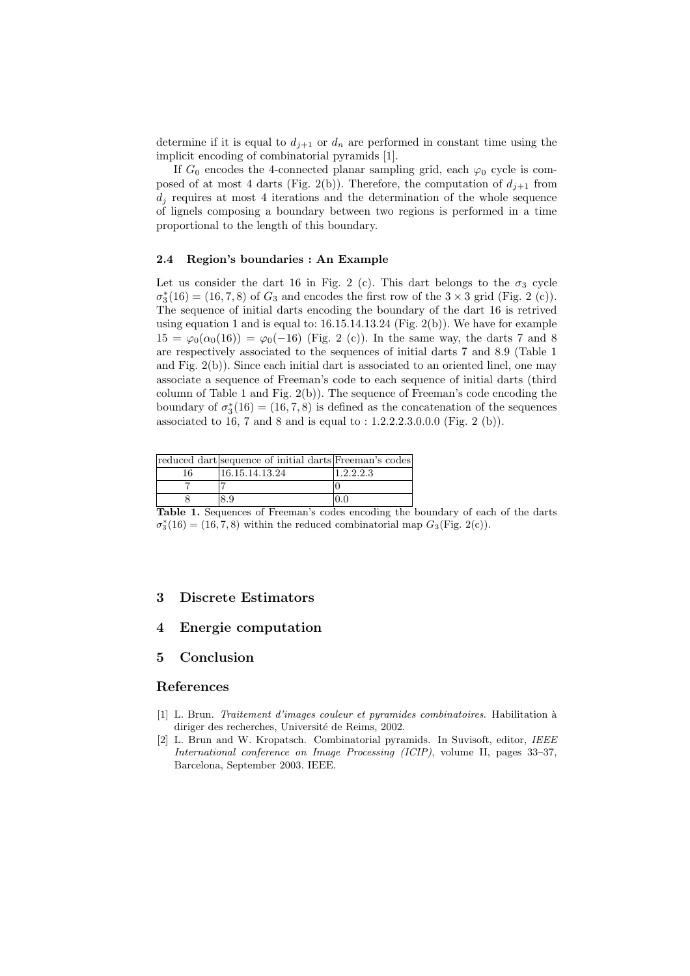determine if it is equal to  $d_{j+1}$  or  $d_n$  are performed in constant time using the implicit encoding of combinatorial pyramids [1].

If  $G_0$  encodes the 4-connected planar sampling grid, each  $\varphi_0$  cycle is composed of at most 4 darts (Fig. 2(b)). Therefore, the computation of  $d_{i+1}$  from  $d_i$  requires at most 4 iterations and the determination of the whole sequence of lignels composing a boundary between two regions is performed in a time proportional to the length of this boundary.

#### 2.4 Region's boundaries : An Example

Let us consider the dart 16 in Fig. 2 (c). This dart belongs to the  $\sigma_3$  cycle  $\sigma_3^*(16) = (16, 7, 8)$  of  $G_3$  and encodes the first row of the  $3 \times 3$  grid (Fig. 2 (c)). The sequence of initial darts encoding the boundary of the dart 16 is retrived using equation 1 and is equal to:  $16.15.14.13.24$  (Fig.  $2(b)$ ). We have for example  $15 = \varphi_0(\alpha_0(16)) = \varphi_0(-16)$  (Fig. 2 (c)). In the same way, the darts 7 and 8 are respectively associated to the sequences of initial darts 7 and 8.9 (Table 1 and Fig. 2(b)). Since each initial dart is associated to an oriented linel, one may associate a sequence of Freeman's code to each sequence of initial darts (third column of Table 1 and Fig. 2(b)). The sequence of Freeman's code encoding the boundary of  $\sigma_3^*(16) = (16, 7, 8)$  is defined as the concatenation of the sequences associated to 16, 7 and 8 and is equal to : 1.2.2.2.3.0.0.0 (Fig. 2 (b)).

|            | reduced dart sequence of initial darts Freeman's codes |                                                           |
|------------|--------------------------------------------------------|-----------------------------------------------------------|
| 16         | 16.15.14.13.24                                         | 1.2.2.2.3                                                 |
|            |                                                        |                                                           |
|            |                                                        |                                                           |
| m. l. l. 1 | . 1                                                    | . The concert for the discussion of the control of the co |

Table 1. Sequences of Freeman's codes encoding the boundary of each of the darts  $\sigma_3^*(16) = (16, 7, 8)$  within the reduced combinatorial map  $G_3$ (Fig. 2(c)).

### 3 Discrete Estimators

# 4 Energie computation

# 5 Conclusion

## References

- [1] L. Brun. Traitement d'images couleur et pyramides combinatoires. Habilitation a` diriger des recherches, Université de Reims, 2002.
- [2] L. Brun and W. Kropatsch. Combinatorial pyramids. In Suvisoft, editor, IEEE International conference on Image Processing (ICIP), volume II, pages 33–37, Barcelona, September 2003. IEEE.